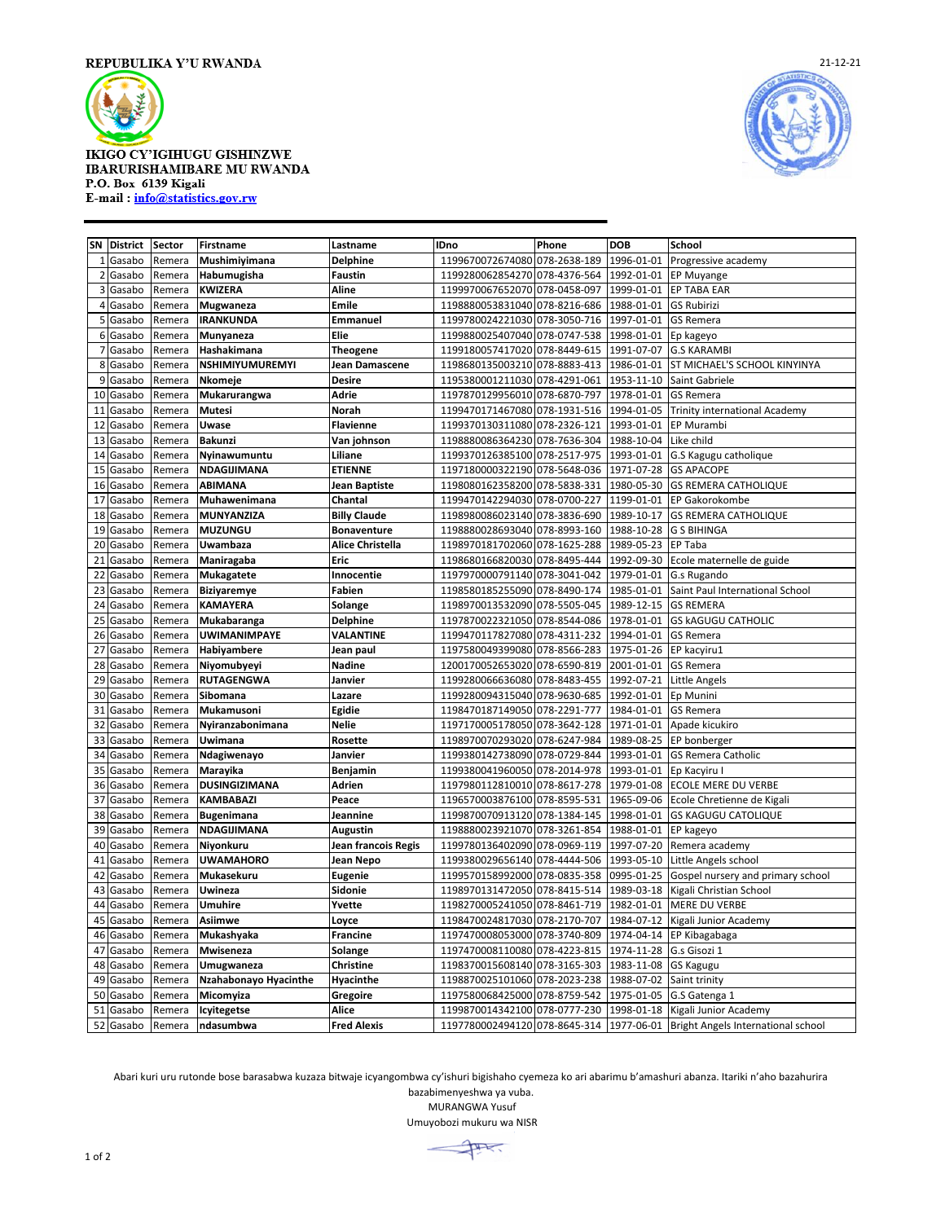

## **IKIGO CY'IGIHUGU GISHINZWE IBARURISHAMIBARE MU RWANDA** P.O. Box 6139 Kigali E-mail: info@statistics.gov.rw



**SN District Sector Firstname Lastname IDno Phone DOB School** Gasabo Remera **Mushimiyimana Delphine** 1199670072674080 078-2638-189 1996-01-01 Progressive academy Gasabo Remera **Habumugisha Faustin** 1199280062854270 078-4376-564 1992-01-01 EP Muyange Gasabo Remera **KWIZERA Aline** 1199970067652070 078-0458-097 1999-01-01 EP TABA EAR Gasabo Remera **Mugwaneza Emile** 1198880053831040 078-8216-686 1988-01-01 GS Rubirizi Gasabo Remera **IRANKUNDA Emmanuel** 1199780024221030 078-3050-716 1997-01-01 GS Remera Gasabo Remera **Munyaneza Elie** 1199880025407040 078-0747-538 1998-01-01 Ep kageyo Gasabo Remera **Hashakimana Theogene** 1199180057417020 078-8449-615 1991-07-07 G.S KARAMBI Gasabo Remera **NSHIMIYUMUREMYI Jean Damascene** 1198680135003210 078-8883-413 1986-01-01 ST MICHAEL'S SCHOOL KINYINYA Gasabo Remera **Nkomeje Desire** 1195380001211030 078-4291-061 1953-11-10 Saint Gabriele Gasabo Remera **Mukarurangwa Adrie** 1197870129956010 078-6870-797 1978-01-01 GS Remera Gasabo Remera **Mutesi Norah** 1199470171467080 078-1931-516 1994-01-05 Trinity international Academy Gasabo Remera **Uwase Flavienne** 1199370130311080 078-2326-121 1993-01-01 EP Murambi Gasabo Remera **Bakunzi Van johnson** 1198880086364230 078-7636-304 1988-10-04 Like child Gasabo Remera **Nyinawumuntu Liliane** 1199370126385100 078-2517-975 1993-01-01 G.S Kagugu catholique Gasabo Remera **NDAGIJIMANA ETIENNE** 1197180000322190 078-5648-036 1971-07-28 GS APACOPE Gasabo Remera **ABIMANA Jean Baptiste** 1198080162358200 078-5838-331 1980-05-30 GS REMERA CATHOLIQUE Gasabo Remera **Muhawenimana Chantal** 1199470142294030 078-0700-227 1199-01-01 EP Gakorokombe Gasabo Remera **MUNYANZIZA Billy Claude** 1198980086023140 078-3836-690 1989-10-17 GS REMERA CATHOLIQUE Gasabo Remera **MUZUNGU Bonaventure** 1198880028693040 078-8993-160 1988-10-28 G S BIHINGA Gasabo Remera **Uwambaza Alice Christella** 1198970181702060 078-1625-288 1989-05-23 EP Taba Gasabo Remera **Maniragaba Eric** 1198680166820030 078-8495-444 1992-09-30 Ecole maternelle de guide Gasabo Remera **Mukagatete Innocentie** 1197970000791140 078-3041-042 1979-01-01 G.s Rugando Gasabo Remera **Biziyaremye Fabien** 1198580185255090 078-8490-174 1985-01-01 Saint Paul International School Gasabo Remera **KAMAYERA Solange** 1198970013532090 078-5505-045 1989-12-15 GS REMERA Gasabo Remera **Mukabaranga Delphine** 1197870022321050 078-8544-086 1978-01-01 GS kAGUGU CATHOLIC Gasabo Remera **UWIMANIMPAYE VALANTINE** 1199470117827080 078-4311-232 1994-01-01 GS Remera Gasabo Remera **Habiyambere Jean paul** 1197580049399080 078-8566-283 1975-01-26 EP kacyiru1 Gasabo Remera **Niyomubyeyi Nadine** 1200170052653020 078-6590-819 2001-01-01 GS Remera Gasabo Remera **RUTAGENGWA Janvier** 1199280066636080 078-8483-455 1992-07-21 Little Angels Gasabo Remera **Sibomana Lazare** 1199280094315040 078-9630-685 1992-01-01 Ep Munini Gasabo Remera **Mukamusoni Egidie** 1198470187149050 078-2291-777 1984-01-01 GS Remera Gasabo Remera **Nyiranzabonimana Nelie** 1197170005178050 078-3642-128 1971-01-01 Apade kicukiro Gasabo Remera **Uwimana Rosette** 1198970070293020 078-6247-984 1989-08-25 EP bonberger Gasabo Remera **Ndagiwenayo Janvier** 1199380142738090 078-0729-844 1993-01-01 GS Remera Catholic Gasabo Remera **Marayika Benjamin** 1199380041960050 078-2014-978 1993-01-01 Ep Kacyiru I Gasabo Remera **DUSINGIZIMANA Adrien** 1197980112810010 078-8617-278 1979-01-08 ECOLE MERE DU VERBE Gasabo Remera **KAMBABAZI Peace** 1196570003876100 078-8595-531 1965-09-06 Ecole Chretienne de Kigali Gasabo Remera **Bugenimana Jeannine** 1199870070913120 078-1384-145 1998-01-01 GS KAGUGU CATOLIQUE Gasabo Remera **NDAGIJIMANA Augustin** 1198880023921070 078-3261-854 1988-01-01 EP kageyo Gasabo Remera **Niyonkuru Jean francois Regis** 1199780136402090 078-0969-119 1997-07-20 Remera academy Gasabo Remera **UWAMAHORO Jean Nepo** 1199380029656140 078-4444-506 1993-05-10 Little Angels school Gasabo Remera **Mukasekuru Eugenie** 1199570158992000 078-0835-358 0995-01-25 Gospel nursery and primary school Gasabo Remera **Uwineza Sidonie** 1198970131472050 078-8415-514 1989-03-18 Kigali Christian School Gasabo Remera **Umuhire Yvette** 1198270005241050 078-8461-719 1982-01-01 MERE DU VERBE Gasabo Remera **Asiimwe Loyce** 1198470024817030 078-2170-707 1984-07-12 Kigali Junior Academy Gasabo Remera **Mukashyaka Francine** 1197470008053000 078-3740-809 1974-04-14 EP Kibagabaga Gasabo Remera **Mwiseneza Solange** 1197470008110080 078-4223-815 1974-11-28 G.s Gisozi 1 Gasabo Remera **Umugwaneza Christine** 1198370015608140 078-3165-303 1983-11-08 GS Kagugu Gasabo Remera **Nzahabonayo Hyacinthe Hyacinthe** 1198870025101060 078-2023-238 1988-07-02 Saint trinity Gasabo Remera **Micomyiza Gregoire** 1197580068425000 078-8759-542 1975-01-05 G.S Gatenga 1 Gasabo Remera **Icyitegetse Alice** 1199870014342100 078-0777-230 1998-01-18 Kigali Junior Academy Gasabo Remera **ndasumbwa Fred Alexis** 1197780002494120 078-8645-314 1977-06-01 Bright Angels International school

Abari kuri uru rutonde bose barasabwa kuzaza bitwaje icyangombwa cy'ishuri bigishaho cyemeza ko ari abarimu b'amashuri abanza. Itariki n'aho bazahurira bazabimenyeshwa ya vuba.

MURANGWA Yusuf

Umuyobozi mukuru wa NISR